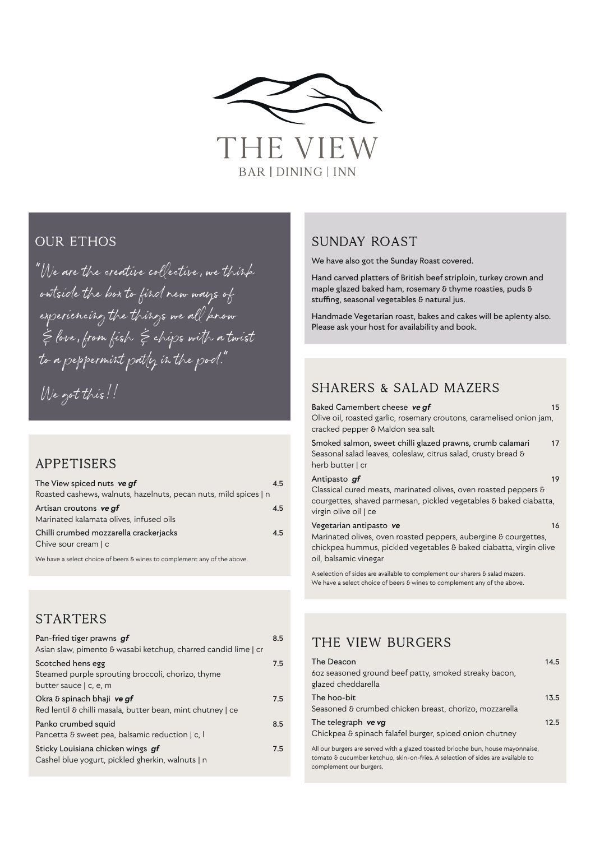

#### **OUR ETHOS**

"We are the creative collective, we think outside the box to find new ways of experiencing the things we all know & love, from fish & chips with a twist to a peppermint patty in the pod."

We got this!!

### **APPETISERS**

| The View spiced nuts ve af                                               | 4.5 |
|--------------------------------------------------------------------------|-----|
| Roasted cashews, walnuts, hazelnuts, pecan nuts, mild spices   n         |     |
| Artisan croutons ve gf<br>Marinated kalamata olives, infused oils        | 4.5 |
| Chilli crumbed mozzarella crackerjacks<br>Chive sour cream   c           | 4.5 |
| We have a select choice of beers & wines to complement any of the above. |     |

**STARTERS** 

| Pan-fried tiger prawns gf<br>Asian slaw, pimento & wasabi ketchup, charred candid lime   cr      | 8.5 |
|--------------------------------------------------------------------------------------------------|-----|
| Scotched hens egg<br>Steamed purple sprouting broccoli, chorizo, thyme<br>butter sauce   c, e, m | 7.5 |
| Okra & spinach bhaji ve gf<br>Red lentil & chilli masala, butter bean, mint chutney   ce         | 7.5 |
| Panko crumbed squid<br>Pancetta & sweet pea, balsamic reduction   c, l                           | 8.5 |
| Sticky Louisiana chicken wings gf<br>Cashel blue yogurt, pickled gherkin, walnuts   n            | 7.5 |

#### Sunday Roast

We have also got the Sunday Roast covered.

Hand carved platters of British beef striploin, turkey crown and maple glazed baked ham, rosemary & thyme roasties, puds & stuffing, seasonal vegetables & natural jus.

Handmade Vegetarian roast, bakes and cakes will be aplenty also. Please ask your host for availability and book.

## Sharers & Salad Mazers

| Baked Camembert cheese ve qf                                                                                                                                  | 15 |
|---------------------------------------------------------------------------------------------------------------------------------------------------------------|----|
| Olive oil, roasted garlic, rosemary croutons, caramelised onion jam,<br>cracked pepper & Maldon sea salt                                                      |    |
| Smoked salmon, sweet chilli glazed prawns, crumb calamari<br>Seasonal salad leaves, coleslaw, citrus salad, crusty bread &<br>herb butter   cr                | 17 |
| Antipasto gf                                                                                                                                                  | 19 |
| Classical cured meats, marinated olives, oven roasted peppers &<br>courgettes, shaved parmesan, pickled vegetables & baked ciabatta,<br>virgin olive oil   ce |    |
| Vegetarian antipasto ve                                                                                                                                       | 16 |
| Marinated olives, oven roasted peppers, aubergine & courgettes,                                                                                               |    |
| chickpea hummus, pickled vegetables & baked ciabatta, virgin olive                                                                                            |    |
| oil, balsamic vinegar                                                                                                                                         |    |

A selection of sides are available to complement our sharers  $\boldsymbol{\delta}$  salad mazers. We have a select choice of beers & wines to complement any of the above.

## The View Burgers

| The Deacon<br>60z seasoned ground beef patty, smoked streaky bacon,<br>glazed cheddarella | 14.5 |
|-------------------------------------------------------------------------------------------|------|
| The hoo-bit                                                                               | 13.5 |
| Seasoned & crumbed chicken breast, chorizo, mozzarella                                    |      |
| The telegraph ve vg<br>Chickpea & spinach falafel burger, spiced onion chutney            | 12.5 |
| All our burgers are served with a glazed toasted brioche bun, house mayonnaise,           |      |

tomato & cucumber ketchup, skin-on-fries. A selection of sides are available to complement our burgers.